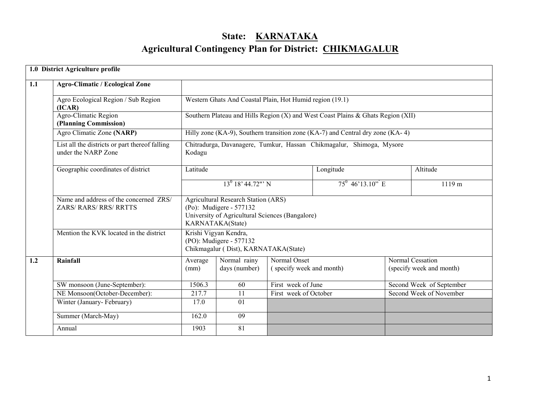# State: KARNATAKA Agricultural Contingency Plan for District: CHIKMAGALUR

|     | 1.0 District Agriculture profile                                        |                                                                                                                                              |                                                                                          |                                          |                                                                                  |                                              |                          |  |  |
|-----|-------------------------------------------------------------------------|----------------------------------------------------------------------------------------------------------------------------------------------|------------------------------------------------------------------------------------------|------------------------------------------|----------------------------------------------------------------------------------|----------------------------------------------|--------------------------|--|--|
| 1.1 | <b>Agro-Climatic / Ecological Zone</b>                                  |                                                                                                                                              |                                                                                          |                                          |                                                                                  |                                              |                          |  |  |
|     | Agro Ecological Region / Sub Region<br>(ICAR)                           |                                                                                                                                              | Western Ghats And Coastal Plain, Hot Humid region (19.1)                                 |                                          |                                                                                  |                                              |                          |  |  |
|     | Agro-Climatic Region<br>(Planning Commission)                           |                                                                                                                                              |                                                                                          |                                          | Southern Plateau and Hills Region (X) and West Coast Plains & Ghats Region (XII) |                                              |                          |  |  |
|     | Agro Climatic Zone (NARP)                                               |                                                                                                                                              |                                                                                          |                                          | Hilly zone (KA-9), Southern transition zone (KA-7) and Central dry zone (KA-4)   |                                              |                          |  |  |
|     | List all the districts or part thereof falling<br>under the NARP Zone   | Kodagu                                                                                                                                       |                                                                                          |                                          | Chitradurga, Davanagere, Tumkur, Hassan Chikmagalur, Shimoga, Mysore             |                                              |                          |  |  |
|     | Geographic coordinates of district                                      | Latitude                                                                                                                                     |                                                                                          |                                          | Longitude                                                                        |                                              | Altitude                 |  |  |
|     |                                                                         | $13^{0}$ 18' 44.72"' N                                                                                                                       |                                                                                          |                                          | $75^{\overline{0}$ 46'13.10" E                                                   |                                              | 1119 m                   |  |  |
|     | Name and address of the concerned ZRS/<br><b>ZARS/ RARS/ RRS/ RRTTS</b> | <b>Agricultural Research Station (ARS)</b><br>(Po): Mudigere - 577132<br>University of Agricultural Sciences (Bangalore)<br>KARNATAKA(State) |                                                                                          |                                          |                                                                                  |                                              |                          |  |  |
|     | Mention the KVK located in the district                                 |                                                                                                                                              | Krishi Vigyan Kendra,<br>(PO): Mudigere - 577132<br>Chikmagalur (Dist), KARNATAKA(State) |                                          |                                                                                  |                                              |                          |  |  |
| 1.2 | Rainfall                                                                | Average<br>(mm)                                                                                                                              | Normal rainy<br>days (number)                                                            | Normal Onset<br>(specify week and month) |                                                                                  | Normal Cessation<br>(specify week and month) |                          |  |  |
|     | SW monsoon (June-September):                                            | 1506.3                                                                                                                                       | 60                                                                                       | First week of June                       |                                                                                  |                                              | Second Week of September |  |  |
|     | NE Monsoon(October-December):                                           | 217.7                                                                                                                                        | 11                                                                                       | First week of October                    |                                                                                  |                                              | Second Week of November  |  |  |
|     | Winter (January-February)                                               | 17.0                                                                                                                                         | 01                                                                                       |                                          |                                                                                  |                                              |                          |  |  |
|     | Summer (March-May)                                                      | 162.0                                                                                                                                        | 09                                                                                       |                                          |                                                                                  |                                              |                          |  |  |
|     | Annual                                                                  | 1903                                                                                                                                         | $\overline{81}$                                                                          |                                          |                                                                                  |                                              |                          |  |  |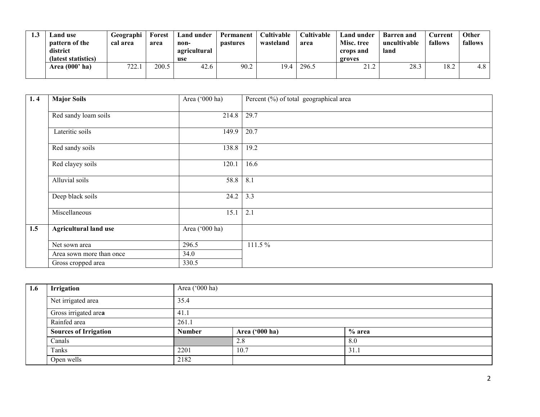| ن. 1 | and use.<br>pattern of the<br>district<br>(latest statistics) | Geographi<br>cal area | Forest<br>area | Land under<br>non-<br>agricultural<br>use | Permanent<br><b>pastures</b> | Cultivable<br>wasteland | Cultivable<br>area | Land under<br>Misc. tree<br>crops and<br>groves | <b>Barren</b> and<br>uncultivable<br>land | durrent_<br>fallows | <b>Other</b><br>fallows |
|------|---------------------------------------------------------------|-----------------------|----------------|-------------------------------------------|------------------------------|-------------------------|--------------------|-------------------------------------------------|-------------------------------------------|---------------------|-------------------------|
|      | Area $(000'$ ha)                                              | 722.<br>44.           | 200.5          | 42.6                                      | 90.2                         | 19.4                    | 296.5              | 21.2                                            | 28.3                                      | 18.2                | 4.8                     |

| 1.4 | <b>Major Soils</b>           | Area ('000 ha) | Percent (%) of total geographical area |  |  |  |
|-----|------------------------------|----------------|----------------------------------------|--|--|--|
|     | Red sandy loam soils         | 214.8          | 29.7                                   |  |  |  |
|     | Lateritic soils              | 149.9          | 20.7                                   |  |  |  |
|     | Red sandy soils              | 138.8          | 19.2                                   |  |  |  |
|     | Red clayey soils             | 120.1          | 16.6                                   |  |  |  |
|     | Alluvial soils               | 58.8           | 8.1                                    |  |  |  |
|     | Deep black soils             | 24.2           | 3.3                                    |  |  |  |
|     | Miscellaneous                | 15.1           | 2.1                                    |  |  |  |
| 1.5 | <b>Agricultural land use</b> | Area ('000 ha) |                                        |  |  |  |
|     | Net sown area                | 296.5          | 111.5 %                                |  |  |  |
|     | Area sown more than once     | 34.0           |                                        |  |  |  |
|     | Gross cropped area           | 330.5          |                                        |  |  |  |

| 1.6 | Irrigation                   | Area ('000 ha) |                |        |  |  |  |  |  |
|-----|------------------------------|----------------|----------------|--------|--|--|--|--|--|
|     | Net irrigated area           | 35.4           |                |        |  |  |  |  |  |
|     | Gross irrigated area         | 41.1           |                |        |  |  |  |  |  |
|     | Rainfed area                 | 261.1          |                |        |  |  |  |  |  |
|     | <b>Sources of Irrigation</b> | <b>Number</b>  | Area ('000 ha) | % area |  |  |  |  |  |
|     | Canals                       |                | 2.8            | 8.0    |  |  |  |  |  |
|     | Tanks                        | 2201           | 10.7           | 31.1   |  |  |  |  |  |
|     | Open wells                   | 2182           |                |        |  |  |  |  |  |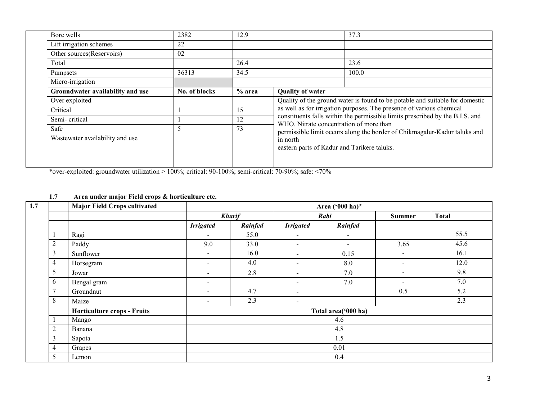| Bore wells                       | 2382          | 12.9     |                                             | 37.3                                                                          |  |  |
|----------------------------------|---------------|----------|---------------------------------------------|-------------------------------------------------------------------------------|--|--|
| Lift irrigation schemes          | 22            |          |                                             |                                                                               |  |  |
| Other sources(Reservoirs)        | 02            |          |                                             |                                                                               |  |  |
| Total                            |               | 26.4     |                                             | 23.6                                                                          |  |  |
| Pumpsets                         | 36313<br>34.5 |          | 100.0                                       |                                                                               |  |  |
| Micro-irrigation                 |               |          |                                             |                                                                               |  |  |
| Groundwater availability and use | No. of blocks | $%$ area | <b>Quality of water</b>                     |                                                                               |  |  |
| Over exploited                   |               |          |                                             | Quality of the ground water is found to be potable and suitable for domestic  |  |  |
| Critical                         |               | 15       |                                             | as well as for irrigation purposes. The presence of various chemical          |  |  |
| Semi-critical                    |               | 12       | WHO. Nitrate concentration of more than     | constituents falls within the permissible limits prescribed by the B.I.S. and |  |  |
| Safe                             | 5             | 73       |                                             | permissible limit occurs along the border of Chikmagalur-Kadur taluks and     |  |  |
| Wastewater availability and use  |               |          | in north                                    |                                                                               |  |  |
|                                  |               |          | eastern parts of Kadur and Tarikere taluks. |                                                                               |  |  |
|                                  |               |          |                                             |                                                                               |  |  |
|                                  |               |          |                                             |                                                                               |  |  |

\*over-exploited: groundwater utilization > 100%; critical: 90-100%; semi-critical: 70-90%; safe: <70%

## 1.7 Area under major Field crops & horticulture etc.

| 1.7 |                            | <b>Major Field Crops cultivated</b> |                          |               |                          | Area ('000 ha)*     |                          |              |  |  |  |
|-----|----------------------------|-------------------------------------|--------------------------|---------------|--------------------------|---------------------|--------------------------|--------------|--|--|--|
|     |                            |                                     |                          | <b>Kharif</b> |                          | Rabi                | <b>Summer</b>            | <b>Total</b> |  |  |  |
|     |                            |                                     | <b>Irrigated</b>         | Rainfed       | <b>Irrigated</b>         | Rainfed             |                          |              |  |  |  |
|     |                            | Ragi                                | $\overline{\phantom{a}}$ | 55.0          | $\sim$                   | $\blacksquare$      |                          | 55.5         |  |  |  |
|     | $\bigcap$<br>$\mathcal{L}$ | Paddy                               | 9.0                      | 33.0          | $\sim$                   | $\sim$              | 3.65                     | 45.6         |  |  |  |
|     | 3                          | Sunflower                           | $\overline{\phantom{a}}$ | 16.0          | $\blacksquare$           | 0.15                | $\sim$                   | 16.1         |  |  |  |
|     | 4                          | Horsegram                           | $\overline{\phantom{a}}$ | 4.0           | $\overline{\phantom{a}}$ | 8.0                 | $\sim$                   | 12.0         |  |  |  |
|     | 5                          | Jowar                               | $\overline{\phantom{a}}$ | 2.8           | $\overline{\phantom{a}}$ | 7.0                 | $\sim$                   | 9.8          |  |  |  |
|     | 6                          | Bengal gram                         | $\overline{\phantom{a}}$ |               | $\blacksquare$           | 7.0                 | $\overline{\phantom{a}}$ | 7.0          |  |  |  |
|     | $\overline{ }$             | Groundnut                           | $\overline{\phantom{a}}$ | 4.7           | $\overline{\phantom{a}}$ |                     | 0.5                      | 5.2          |  |  |  |
|     | 8                          | Maize                               | $\overline{\phantom{a}}$ | 2.3           | $\overline{\phantom{a}}$ |                     |                          | 2.3          |  |  |  |
|     |                            | <b>Horticulture crops - Fruits</b>  |                          |               |                          | Total area('000 ha) |                          |              |  |  |  |
|     |                            | Mango                               |                          |               |                          | 4.6                 |                          |              |  |  |  |
|     | $\sim$<br>∠                | Banana                              |                          |               |                          | 4.8                 |                          |              |  |  |  |
|     | $\sim$<br>$\mathfrak{I}$   | Sapota                              |                          | 1.5           |                          |                     |                          |              |  |  |  |
|     | 4                          | Grapes                              |                          | 0.01          |                          |                     |                          |              |  |  |  |
|     | 5                          | Lemon                               |                          |               |                          | 0.4                 |                          |              |  |  |  |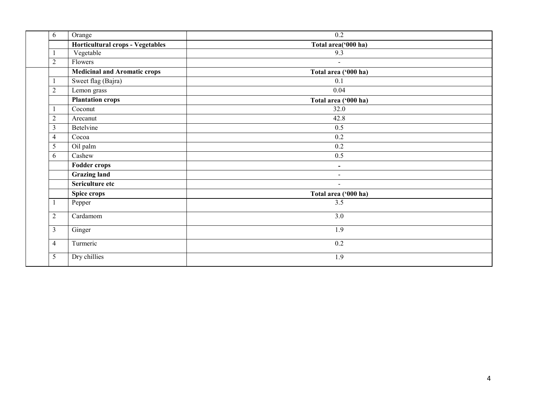| 6              | Orange                              | 0.2                      |
|----------------|-------------------------------------|--------------------------|
|                | Horticultural crops - Vegetables    | Total area('000 ha)      |
|                | Vegetable                           | 9.3                      |
| $\overline{c}$ | Flowers                             | $\blacksquare$           |
|                | <b>Medicinal and Aromatic crops</b> | Total area ('000 ha)     |
|                | Sweet flag (Bajra)                  | 0.1                      |
| $\overline{2}$ | Lemon grass                         | 0.04                     |
|                | <b>Plantation crops</b>             | Total area ('000 ha)     |
|                | Coconut                             | 32.0                     |
| $\sqrt{2}$     | Arecanut                            | 42.8                     |
| 3              | Betelvine                           | 0.5                      |
| 4              | Cocoa                               | $\overline{0.2}$         |
| 5              | Oil palm                            | 0.2                      |
| 6              | Cashew                              | 0.5                      |
|                | <b>Fodder crops</b>                 | $\blacksquare$           |
|                | Grazing land                        | $\overline{\phantom{a}}$ |
|                | Sericulture etc                     | $\blacksquare$           |
|                | Spice crops                         | Total area ('000 ha)     |
| -1             | Pepper                              | $\overline{3.5}$         |
| $\overline{2}$ | Cardamom                            | 3.0                      |
| 3              | Ginger                              | 1.9                      |
| 4              | Turmeric                            | 0.2                      |
| 5              | Dry chillies                        | 1.9                      |
|                |                                     |                          |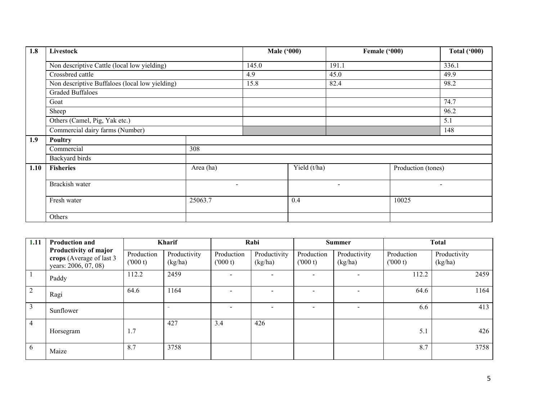| 1.8  | Livestock                                      |                          | <b>Male ('000)</b> |              | Female ('000)            |                    | <b>Total ('000)</b>      |
|------|------------------------------------------------|--------------------------|--------------------|--------------|--------------------------|--------------------|--------------------------|
|      | Non descriptive Cattle (local low yielding)    |                          | 145.0              |              | 191.1                    |                    | 336.1                    |
|      | Crossbred cattle                               |                          | 4.9                |              | 45.0                     |                    | 49.9                     |
|      | Non descriptive Buffaloes (local low yielding) |                          | 15.8               |              | 82.4                     |                    | 98.2                     |
|      | <b>Graded Buffaloes</b>                        |                          |                    |              |                          |                    |                          |
|      | Goat                                           |                          |                    |              |                          |                    | 74.7                     |
|      | Sheep                                          |                          |                    |              |                          |                    | 96.2                     |
|      | Others (Camel, Pig, Yak etc.)                  |                          |                    |              |                          |                    | 5.1                      |
|      | Commercial dairy farms (Number)                |                          |                    |              |                          |                    | 148                      |
| 1.9  | Poultry                                        |                          |                    |              |                          |                    |                          |
|      | Commercial                                     | 308                      |                    |              |                          |                    |                          |
|      | Backyard birds                                 |                          |                    |              |                          |                    |                          |
| 1.10 | <b>Fisheries</b>                               | Area (ha)                |                    | Yield (t/ha) |                          | Production (tones) |                          |
|      | Brackish water                                 | $\overline{\phantom{0}}$ |                    |              | $\overline{\phantom{0}}$ |                    | $\overline{\phantom{a}}$ |
|      | Fresh water<br>25063.7                         |                          |                    | 0.4          |                          | 10025              |                          |
|      | Others                                         |                          |                    |              |                          |                    |                          |

| 1.11           | <b>Production and</b>                                                     | <b>Kharif</b>          |                         | Rabi                  |                         | <b>Summer</b>         |                         | <b>Total</b>          |                         |
|----------------|---------------------------------------------------------------------------|------------------------|-------------------------|-----------------------|-------------------------|-----------------------|-------------------------|-----------------------|-------------------------|
|                | Productivity of major<br>crops (Average of last 3<br>years: 2006, 07, 08) | Production<br>(1000 t) | Productivity<br>(kg/ha) | Production<br>(000 t) | Productivity<br>(kg/ha) | Production<br>(000 t) | Productivity<br>(kg/ha) | Production<br>(000 t) | Productivity<br>(kg/ha) |
|                | Paddy                                                                     | 112.2                  | 2459                    |                       |                         |                       |                         | 112.2                 | 2459                    |
| 2              | Ragi                                                                      | 64.6                   | 1164                    |                       |                         |                       |                         | 64.6                  | 1164                    |
|                | Sunflower                                                                 |                        |                         |                       | $\equiv$                |                       |                         | 6.6                   | 413                     |
| $\overline{4}$ | Horsegram                                                                 | 1.7                    | 427                     | 3.4                   | 426                     |                       |                         | 5.1                   | 426                     |
| 6              | Maize                                                                     | 8.7                    | 3758                    |                       |                         |                       |                         | 8.7                   | 3758                    |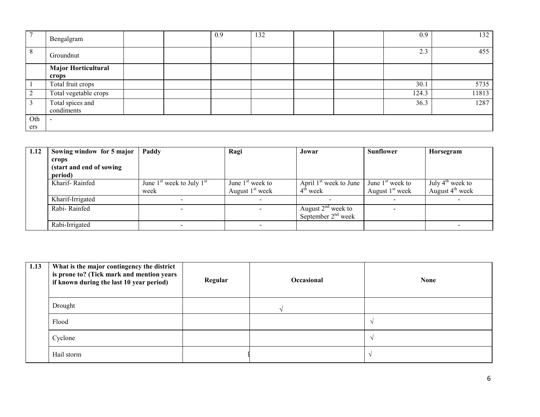|     | Bengalgram                 |  | 0.9 | 132 |  | 0.9   | 132   |
|-----|----------------------------|--|-----|-----|--|-------|-------|
| 8   | Groundnut                  |  |     |     |  | 2.3   | 455   |
|     | <b>Major Horticultural</b> |  |     |     |  |       |       |
|     | crops                      |  |     |     |  |       |       |
|     | Total fruit crops          |  |     |     |  | 30.1  | 5735  |
|     | Total vegetable crops      |  |     |     |  | 124.3 | 11813 |
|     | Total spices and           |  |     |     |  | 36.3  | 1287  |
|     | condiments                 |  |     |     |  |       |       |
| Oth |                            |  |     |     |  |       |       |
| ers |                            |  |     |     |  |       |       |

| 1.12 | Sowing window for 5 major | Paddy                         | Ragi                     | Jowar                    | Sunflower          | Horsegram          |
|------|---------------------------|-------------------------------|--------------------------|--------------------------|--------------------|--------------------|
|      | crops                     |                               |                          |                          |                    |                    |
|      | (start and end of sowing) |                               |                          |                          |                    |                    |
|      | period)                   |                               |                          |                          |                    |                    |
|      | Kharif-Rainfed            | June $1st$ week to July $1st$ | June $1st$ week to       | April $1st$ week to June | June $1st$ week to | July $4th$ week to |
|      |                           | week                          | August $1st$ week        | 4 <sup>th</sup> week     | August $1st$ week  | August $4th$ week  |
|      | Kharif-Irrigated          |                               | $\overline{\phantom{0}}$ |                          |                    | $\sim$             |
|      | Rabi-Rainfed              |                               |                          | August $2nd$ week to     |                    |                    |
|      |                           |                               |                          | September $2nd$ week     |                    |                    |
|      | Rabi-Irrigated            |                               |                          |                          |                    |                    |

| 1.13 | What is the major contingency the district<br>is prone to? (Tick mark and mention years<br>if known during the last 10 year period) | Regular | <b>Occasional</b> | <b>None</b> |
|------|-------------------------------------------------------------------------------------------------------------------------------------|---------|-------------------|-------------|
|      | Drought                                                                                                                             |         |                   |             |
|      | Flood                                                                                                                               |         |                   |             |
|      | Cyclone                                                                                                                             |         |                   |             |
|      | Hail storm                                                                                                                          |         |                   |             |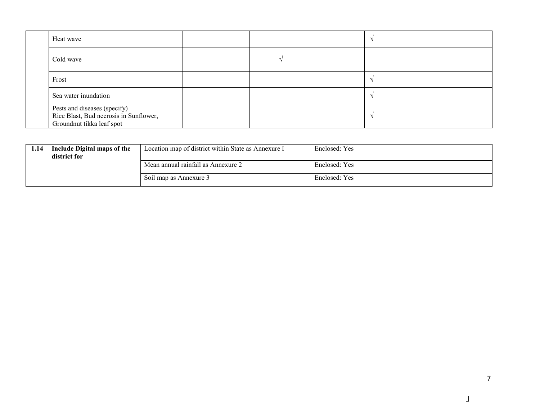| Heat wave                                                                                           |  |  |
|-----------------------------------------------------------------------------------------------------|--|--|
| Cold wave                                                                                           |  |  |
| Frost                                                                                               |  |  |
| Sea water inundation                                                                                |  |  |
| Pests and diseases (specify)<br>Rice Blast, Bud necrosis in Sunflower,<br>Groundnut tikka leaf spot |  |  |

| 1.14 | Include Digital maps of the<br>district for | Location map of district within State as Annexure I | Enclosed: Yes |
|------|---------------------------------------------|-----------------------------------------------------|---------------|
|      |                                             | Mean annual rainfall as Annexure 2                  | Enclosed: Yes |
|      |                                             | Soil map as Annexure 3                              | Enclosed: Yes |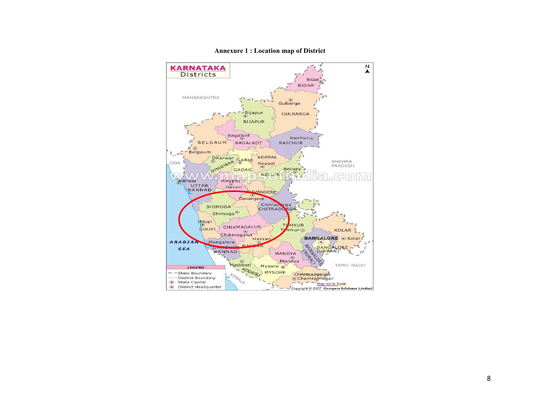

Annexure 1 : Location map of District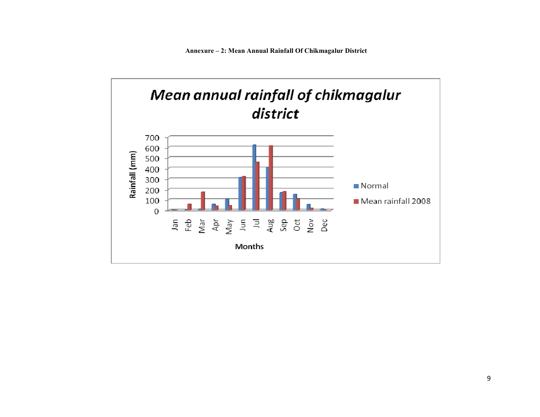Annexure – 2: Mean Annual Rainfall Of Chikmagalur District

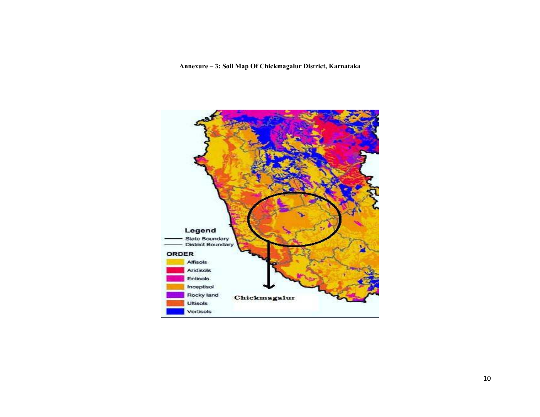Annexure – 3: Soil Map Of Chickmagalur District, Karnataka

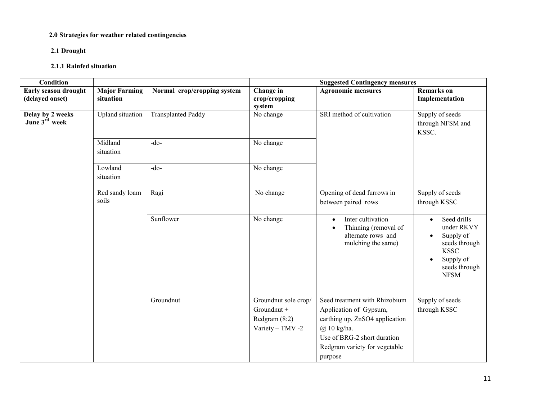#### 2.0 Strategies for weather related contingencies

## 2.1 Drought

## 2.1.1 Rainfed situation

| <b>Condition</b>                        |                                   |                             | <b>Suggested Contingency measures</b>                                      |                                                                                                                                                                                         |                                                                                                                                  |  |  |
|-----------------------------------------|-----------------------------------|-----------------------------|----------------------------------------------------------------------------|-----------------------------------------------------------------------------------------------------------------------------------------------------------------------------------------|----------------------------------------------------------------------------------------------------------------------------------|--|--|
| Early season drought<br>(delayed onset) | <b>Major Farming</b><br>situation | Normal crop/cropping system | Change in<br>crop/cropping<br>system                                       | <b>Agronomic measures</b>                                                                                                                                                               | <b>Remarks</b> on<br>Implementation                                                                                              |  |  |
| Delay by 2 weeks<br>June 3rd week       | <b>Upland</b> situation           | <b>Transplanted Paddy</b>   | No change                                                                  | SRI method of cultivation                                                                                                                                                               | Supply of seeds<br>through NFSM and<br>KSSC.                                                                                     |  |  |
|                                         | Midland<br>situation              | $-do$                       | No change                                                                  |                                                                                                                                                                                         |                                                                                                                                  |  |  |
|                                         | Lowland<br>situation              | $-do$                       | No change                                                                  |                                                                                                                                                                                         |                                                                                                                                  |  |  |
|                                         | Red sandy loam<br>soils           | Ragi                        | No change                                                                  | Opening of dead furrows in<br>between paired rows                                                                                                                                       | Supply of seeds<br>through KSSC                                                                                                  |  |  |
|                                         |                                   | Sunflower                   | No change                                                                  | Inter cultivation<br>$\bullet$<br>Thinning (removal of<br>$\bullet$<br>alternate rows and<br>mulching the same)                                                                         | Seed drills<br>$\bullet$<br>under RKVY<br>Supply of<br>seeds through<br><b>KSSC</b><br>Supply of<br>seeds through<br><b>NFSM</b> |  |  |
|                                         |                                   | Groundnut                   | Groundnut sole crop/<br>Groundnut +<br>Redgram $(8:2)$<br>Variety - TMV -2 | Seed treatment with Rhizobium<br>Application of Gypsum,<br>earthing up, ZnSO4 application<br>$(a)$ 10 kg/ha.<br>Use of BRG-2 short duration<br>Redgram variety for vegetable<br>purpose | Supply of seeds<br>through KSSC                                                                                                  |  |  |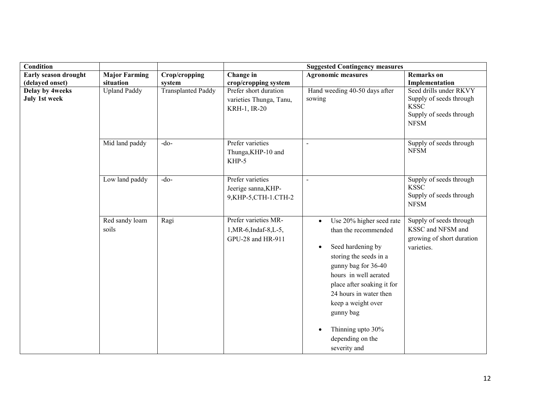| Condition                               |                                                                                                                                |               | <b>Suggested Contingency measures</b>                               |                                                                                                                                                                                                                                                                                                                  |                                                                                         |  |
|-----------------------------------------|--------------------------------------------------------------------------------------------------------------------------------|---------------|---------------------------------------------------------------------|------------------------------------------------------------------------------------------------------------------------------------------------------------------------------------------------------------------------------------------------------------------------------------------------------------------|-----------------------------------------------------------------------------------------|--|
| Early season drought                    | <b>Major Farming</b>                                                                                                           | Crop/cropping | Change in                                                           | <b>Agronomic measures</b>                                                                                                                                                                                                                                                                                        | <b>Remarks</b> on                                                                       |  |
| (delayed onset)                         | situation                                                                                                                      | system        | crop/cropping system                                                |                                                                                                                                                                                                                                                                                                                  | Implementation                                                                          |  |
| Delay by 4weeks<br><b>July 1st week</b> | <b>Upland Paddy</b><br><b>Transplanted Paddy</b><br>Prefer short duration<br>sowing<br>varieties Thunga, Tanu,<br>KRH-1, IR-20 |               | Hand weeding 40-50 days after                                       | Seed drills under RKVY<br>Supply of seeds through<br><b>KSSC</b><br>Supply of seeds through<br><b>NFSM</b>                                                                                                                                                                                                       |                                                                                         |  |
|                                         | Mid land paddy                                                                                                                 | $-do$         | Prefer varieties<br>Thunga, KHP-10 and<br>KHP-5                     | $\overline{a}$                                                                                                                                                                                                                                                                                                   | Supply of seeds through<br><b>NFSM</b>                                                  |  |
|                                         | Low land paddy                                                                                                                 | $-do-$        | Prefer varieties<br>Jeerige sanna, KHP-<br>9, KHP-5, CTH-1. CTH-2   | $\blacksquare$                                                                                                                                                                                                                                                                                                   | Supply of seeds through<br><b>KSSC</b><br>Supply of seeds through<br><b>NFSM</b>        |  |
|                                         | Red sandy loam<br>soils                                                                                                        | Ragi          | Prefer varieties MR-<br>1, MR-6, Indaf-8, L-5,<br>GPU-28 and HR-911 | Use 20% higher seed rate<br>than the recommended<br>Seed hardening by<br>$\bullet$<br>storing the seeds in a<br>gunny bag for 36-40<br>hours in well aerated<br>place after soaking it for<br>24 hours in water then<br>keep a weight over<br>gunny bag<br>Thinning upto 30%<br>depending on the<br>severity and | Supply of seeds through<br>KSSC and NFSM and<br>growing of short duration<br>varieties. |  |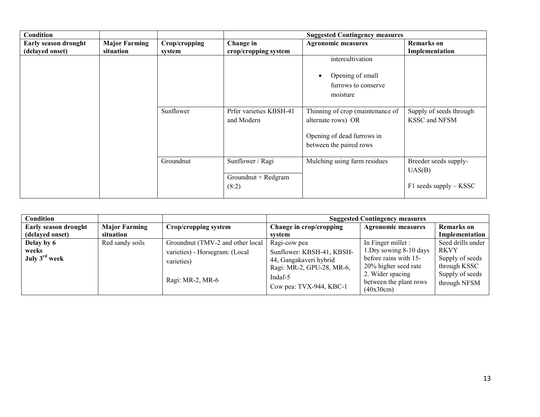| <b>Condition</b>     |                      |               | <b>Suggested Contingency measures</b> |                                  |                            |  |  |
|----------------------|----------------------|---------------|---------------------------------------|----------------------------------|----------------------------|--|--|
| Early season drought | <b>Major Farming</b> | Crop/cropping | Change in                             | <b>Agronomic measures</b>        | <b>Remarks</b> on          |  |  |
| (delayed onset)      | situation            | system        | crop/cropping system                  |                                  | Implementation             |  |  |
|                      |                      |               |                                       | intercultivation                 |                            |  |  |
|                      |                      |               |                                       | Opening of small                 |                            |  |  |
|                      |                      |               |                                       | furrows to conserve              |                            |  |  |
|                      |                      |               |                                       | moisture                         |                            |  |  |
|                      |                      |               |                                       |                                  |                            |  |  |
|                      |                      | Sunflower     | Prfer varieties KBSH-41               | Thinning of crop (maintenance of | Supply of seeds through    |  |  |
|                      |                      |               | and Modern                            | alternate rows) OR               | <b>KSSC</b> and NFSM       |  |  |
|                      |                      |               |                                       | Opening of dead furrows in       |                            |  |  |
|                      |                      |               |                                       | between the paired rows          |                            |  |  |
|                      |                      |               |                                       |                                  |                            |  |  |
|                      |                      | Groundnut     | Sunflower / Ragi                      | Mulching using farm residues     | Breeder seeds supply-      |  |  |
|                      |                      |               |                                       |                                  | UAS(B)                     |  |  |
|                      |                      |               | Groundnut + Redgram                   |                                  |                            |  |  |
|                      |                      |               | (8:2)                                 |                                  | $F1$ seeds supply $-$ KSSC |  |  |

| <b>Condition</b>                                 |                      |                                                                                                      |                                                                                                                                        | <b>Suggested Contingency measures</b>                                                                                                                     |                                                                                                        |
|--------------------------------------------------|----------------------|------------------------------------------------------------------------------------------------------|----------------------------------------------------------------------------------------------------------------------------------------|-----------------------------------------------------------------------------------------------------------------------------------------------------------|--------------------------------------------------------------------------------------------------------|
| <b>Early season drought</b>                      | <b>Major Farming</b> | Crop/cropping system                                                                                 | Change in crop/cropping                                                                                                                | <b>Agronomic measures</b>                                                                                                                                 | <b>Remarks</b> on                                                                                      |
| (delayed onset)                                  | situation            |                                                                                                      | system                                                                                                                                 |                                                                                                                                                           | Implementation                                                                                         |
| Delay by 6<br>weeks<br>July 3 <sup>rd</sup> week | Red sandy soils      | Groundnut (TMV-2 and other local<br>varieties) - Horsegram: (Local<br>varieties)<br>Ragi: MR-2, MR-6 | Ragi-cow pea<br>Sunflower: KBSH-41, KBSH-<br>44, Gangakaveri hybrid<br>Ragi: MR-2, GPU-28, MR-6,<br>Indaf-5<br>Cow pea: TVX-944, KBC-1 | In Finger millet :<br>1. Dry sowing 8-10 days<br>before rains with 15-<br>20% higher seed rate<br>2. Wider spacing<br>between the plant rows<br>(40x30cm) | Seed drills under<br><b>RKVY</b><br>Supply of seeds<br>through KSSC<br>Supply of seeds<br>through NFSM |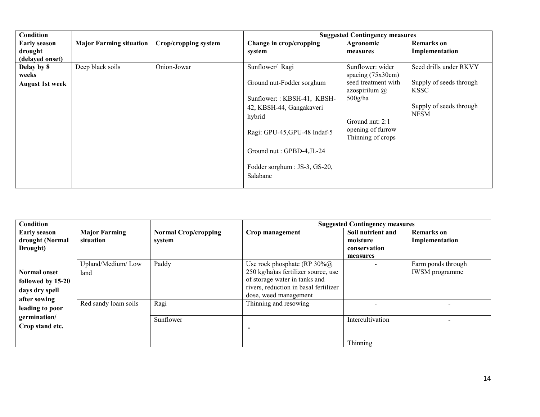| Condition                                         |                                |                      |                                                                                                                                                                                                                             | <b>Suggested Contingency measures</b>                                                                                                                          |                                                                                                            |
|---------------------------------------------------|--------------------------------|----------------------|-----------------------------------------------------------------------------------------------------------------------------------------------------------------------------------------------------------------------------|----------------------------------------------------------------------------------------------------------------------------------------------------------------|------------------------------------------------------------------------------------------------------------|
| <b>Early season</b><br>drought<br>(delayed onset) | <b>Major Farming situation</b> | Crop/cropping system | Change in crop/cropping<br>system                                                                                                                                                                                           | Agronomic<br>measures                                                                                                                                          | <b>Remarks</b> on<br>Implementation                                                                        |
| Delay by 8<br>weeks<br><b>August 1st week</b>     | Deep black soils               | Onion-Jowar          | Sunflower/ Ragi<br>Ground nut-Fodder sorghum<br>Sunflower:: KBSH-41, KBSH-<br>42, KBSH-44, Gangakaveri<br>hybrid<br>Ragi: GPU-45, GPU-48 Indaf-5<br>Ground nut : GPBD-4, JL-24<br>Fodder sorghum : JS-3, GS-20,<br>Salabane | Sunflower: wider<br>spacing $(75x30cm)$<br>seed treatment with<br>azospirilum $(a)$<br>$500$ g/ha<br>Ground nut: 2:1<br>opening of furrow<br>Thinning of crops | Seed drills under RKVY<br>Supply of seeds through<br><b>KSSC</b><br>Supply of seeds through<br><b>NFSM</b> |

| Condition           |                      |                             |                                          | <b>Suggested Contingency measures</b> |                       |
|---------------------|----------------------|-----------------------------|------------------------------------------|---------------------------------------|-----------------------|
| <b>Early season</b> | <b>Major Farming</b> | <b>Normal Crop/cropping</b> | Crop management                          | Soil nutrient and                     | <b>Remarks</b> on     |
| drought (Normal     | situation            | system                      |                                          | moisture                              | Implementation        |
| Drought)            |                      |                             |                                          | conservation                          |                       |
|                     |                      |                             |                                          | measures                              |                       |
|                     | Upland/Medium/Low    | Paddy                       | Use rock phosphate (RP $30\%$ $\omega$ ) |                                       | Farm ponds through    |
| <b>Normal onset</b> | land                 |                             | 250 kg/ha) as fertilizer source, use     |                                       | <b>IWSM</b> programme |
| followed by 15-20   |                      |                             | of storage water in tanks and            |                                       |                       |
| days dry spell      |                      |                             | rivers, reduction in basal fertilizer    |                                       |                       |
| after sowing        |                      |                             | dose, weed management                    |                                       |                       |
|                     | Red sandy loam soils | Ragi                        | Thinning and resowing                    |                                       |                       |
| leading to poor     |                      |                             |                                          |                                       |                       |
| germination/        |                      | Sunflower                   |                                          | Intercultivation                      |                       |
| Crop stand etc.     |                      |                             |                                          |                                       |                       |
|                     |                      |                             |                                          |                                       |                       |
|                     |                      |                             |                                          | Thinning                              |                       |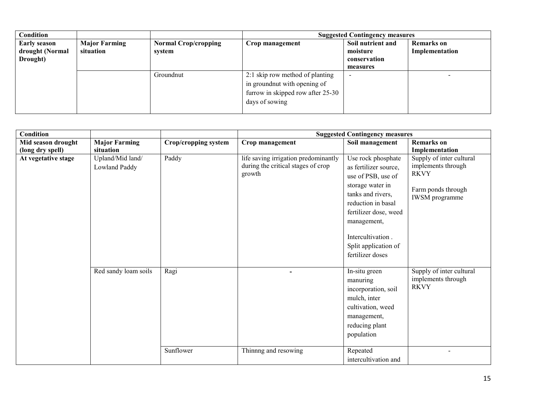| Condition                              |                                   |                                       |                                   | <b>Suggested Contingency measures</b> |                                     |
|----------------------------------------|-----------------------------------|---------------------------------------|-----------------------------------|---------------------------------------|-------------------------------------|
| <b>Early season</b><br>drought (Normal | <b>Major Farming</b><br>situation | <b>Normal Crop/cropping</b><br>system | Crop management                   | Soil nutrient and<br>moisture         | <b>Remarks</b> on<br>Implementation |
| Drought)                               |                                   |                                       |                                   | conservation                          |                                     |
|                                        |                                   |                                       |                                   | measures                              |                                     |
|                                        |                                   | Groundnut                             | 2:1 skip row method of planting   | -                                     |                                     |
|                                        |                                   |                                       | in ground nut with opening of     |                                       |                                     |
|                                        |                                   |                                       | furrow in skipped row after 25-30 |                                       |                                     |
|                                        |                                   |                                       | days of sowing                    |                                       |                                     |
|                                        |                                   |                                       |                                   |                                       |                                     |

| Condition           |                                   |                      |                                                                                      | <b>Suggested Contingency measures</b>                                                                                                                                                                                                     |                                                                                                              |
|---------------------|-----------------------------------|----------------------|--------------------------------------------------------------------------------------|-------------------------------------------------------------------------------------------------------------------------------------------------------------------------------------------------------------------------------------------|--------------------------------------------------------------------------------------------------------------|
| Mid season drought  | <b>Major Farming</b>              | Crop/cropping system | Crop management                                                                      | Soil management                                                                                                                                                                                                                           | <b>Remarks</b> on                                                                                            |
| (long dry spell)    | situation                         |                      |                                                                                      |                                                                                                                                                                                                                                           | Implementation                                                                                               |
| At vegetative stage | Upland/Mid land/<br>Lowland Paddy | Paddy                | life saving irrigation predominantly<br>during the critical stages of crop<br>growth | Use rock phosphate<br>as fertilizer source,<br>use of PSB, use of<br>storage water in<br>tanks and rivers,<br>reduction in basal<br>fertilizer dose, weed<br>management,<br>Intercultivation.<br>Split application of<br>fertilizer doses | Supply of inter cultural<br>implements through<br><b>RKVY</b><br>Farm ponds through<br><b>IWSM</b> programme |
|                     | Red sandy loam soils              | Ragi<br>Sunflower    | Thinnng and resowing                                                                 | In-situ green<br>manuring<br>incorporation, soil<br>mulch, inter<br>cultivation, weed<br>management,<br>reducing plant<br>population<br>Repeated                                                                                          | Supply of inter cultural<br>implements through<br><b>RKVY</b><br>$\overline{\phantom{0}}$                    |
|                     |                                   |                      |                                                                                      | intercultivation and                                                                                                                                                                                                                      |                                                                                                              |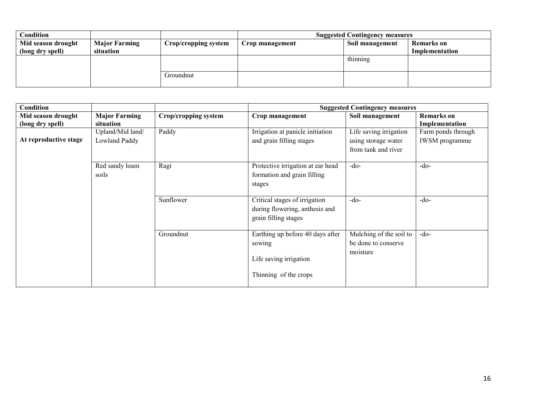| Condition          |                      |                      | <b>Suggested Contingency measures</b> |                 |                   |  |
|--------------------|----------------------|----------------------|---------------------------------------|-----------------|-------------------|--|
| Mid season drought | <b>Major Farming</b> | Crop/cropping system | Crop management                       | Soil management | <b>Remarks</b> on |  |
| (long dry spell)   | situation            |                      |                                       |                 | Implementation    |  |
|                    |                      |                      |                                       | thinning        |                   |  |
|                    |                      |                      |                                       |                 |                   |  |
|                    |                      | Groundnut            |                                       |                 |                   |  |
|                    |                      |                      |                                       |                 |                   |  |

| Condition                              |                                   |                      |                                                                                               | <b>Suggested Contingency measures</b>                                |                                             |
|----------------------------------------|-----------------------------------|----------------------|-----------------------------------------------------------------------------------------------|----------------------------------------------------------------------|---------------------------------------------|
| Mid season drought<br>(long dry spell) | <b>Major Farming</b><br>situation | Crop/cropping system | Crop management                                                                               | Soil management                                                      | <b>Remarks</b> on<br>Implementation         |
| At reproductive stage                  | Upland/Mid land/<br>Lowland Paddy | Paddy                | Irrigation at panicle initiation<br>and grain filling stages                                  | Life saving irrigation<br>using storage water<br>from tank and river | Farm ponds through<br><b>IWSM</b> programme |
|                                        | Red sandy loam<br>soils           | Ragi                 | Protective irrigation at ear head<br>formation and grain filling<br>stages                    | $-do-$                                                               | $-do-$                                      |
|                                        |                                   | Sunflower            | Critical stages of irrigation<br>during flowering, anthesis and<br>grain filling stages       | $-do-$                                                               | $-do-$                                      |
|                                        |                                   | Groundnut            | Earthing up before 40 days after<br>sowing<br>Life saving irrigation<br>Thinning of the crops | Mulching of the soil to<br>be done to conserve<br>moisture           | $-do-$                                      |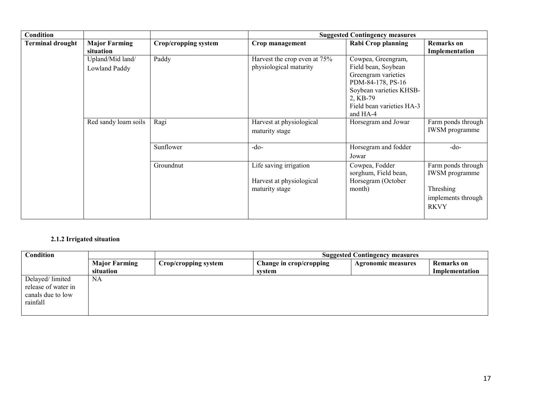| <b>Condition</b>        |                                   |                             |                                                                      | <b>Suggested Contingency measures</b>                                                                                                                                 |                                                                                               |
|-------------------------|-----------------------------------|-----------------------------|----------------------------------------------------------------------|-----------------------------------------------------------------------------------------------------------------------------------------------------------------------|-----------------------------------------------------------------------------------------------|
| <b>Terminal drought</b> | <b>Major Farming</b><br>situation | <b>Crop/cropping system</b> | Crop management                                                      | <b>Rabi Crop planning</b>                                                                                                                                             | <b>Remarks</b> on<br>Implementation                                                           |
|                         | Upland/Mid land/<br>Lowland Paddy | Paddy                       | Harvest the crop even at 75%<br>physiological maturity               | Cowpea, Greengram,<br>Field bean, Soybean<br>Greengram varieties<br>PDM-84-178, PS-16<br>Soybean varieties KHSB-<br>2, KB-79<br>Field bean varieties HA-3<br>and HA-4 |                                                                                               |
|                         | Red sandy loam soils              | Ragi                        | Harvest at physiological<br>maturity stage                           | Horsegram and Jowar                                                                                                                                                   | Farm ponds through<br><b>IWSM</b> programme                                                   |
|                         |                                   | Sunflower                   | $-do-$                                                               | Horsegram and fodder<br>Jowar                                                                                                                                         | $-do-$                                                                                        |
|                         |                                   | Groundnut                   | Life saving irrigation<br>Harvest at physiological<br>maturity stage | Cowpea, Fodder<br>sorghum, Field bean,<br>Horsegram (October<br>month)                                                                                                | Farm ponds through<br><b>IWSM</b> programme<br>Threshing<br>implements through<br><b>RKVY</b> |

## 2.1.2 Irrigated situation

| Condition                                                               |                      |                      | <b>Suggested Contingency measures</b> |                           |                   |
|-------------------------------------------------------------------------|----------------------|----------------------|---------------------------------------|---------------------------|-------------------|
|                                                                         | <b>Major Farming</b> | Crop/cropping system | Change in crop/cropping               | <b>Agronomic measures</b> | <b>Remarks</b> on |
|                                                                         | situation            |                      | svstem                                |                           | Implementation    |
| Delayed/limited<br>release of water in<br>canals due to low<br>rainfall | NA                   |                      |                                       |                           |                   |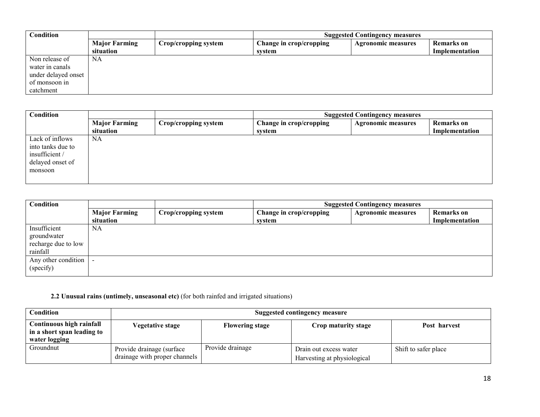| Condition           |                      |                      |                         | <b>Suggested Contingency measures</b> |                |
|---------------------|----------------------|----------------------|-------------------------|---------------------------------------|----------------|
|                     | <b>Major Farming</b> | Crop/cropping system | Change in crop/cropping | <b>Agronomic measures</b>             | Remarks on     |
|                     | situation            |                      | svstem                  |                                       | Implementation |
| Non release of      | NA                   |                      |                         |                                       |                |
| water in canals     |                      |                      |                         |                                       |                |
| under delayed onset |                      |                      |                         |                                       |                |
| of monsoon in       |                      |                      |                         |                                       |                |
| catchment           |                      |                      |                         |                                       |                |

| Condition         |                      |                      |                         | <b>Suggested Contingency measures</b> |                   |
|-------------------|----------------------|----------------------|-------------------------|---------------------------------------|-------------------|
|                   | <b>Major Farming</b> | Crop/cropping system | Change in crop/cropping | <b>Agronomic measures</b>             | <b>Remarks</b> on |
|                   | situation            |                      | svstem                  |                                       | Implementation    |
| Lack of inflows   | NA                   |                      |                         |                                       |                   |
| into tanks due to |                      |                      |                         |                                       |                   |
| insufficient /    |                      |                      |                         |                                       |                   |
| delayed onset of  |                      |                      |                         |                                       |                   |
| monsoon           |                      |                      |                         |                                       |                   |
|                   |                      |                      |                         |                                       |                   |
|                   |                      |                      |                         |                                       |                   |

| Condition           | <b>Suggested Contingency measures</b> |                      |                         |                           |                   |
|---------------------|---------------------------------------|----------------------|-------------------------|---------------------------|-------------------|
|                     | <b>Major Farming</b>                  | Crop/cropping system | Change in crop/cropping | <b>Agronomic measures</b> | <b>Remarks</b> on |
|                     | situation                             |                      | system                  |                           | Implementation    |
| Insufficient        | NA                                    |                      |                         |                           |                   |
| groundwater         |                                       |                      |                         |                           |                   |
| recharge due to low |                                       |                      |                         |                           |                   |
| rainfall            |                                       |                      |                         |                           |                   |
| Any other condition |                                       |                      |                         |                           |                   |
| (specify)           |                                       |                      |                         |                           |                   |
|                     |                                       |                      |                         |                           |                   |

# 2.2 Unusual rains (untimely, unseasonal etc) (for both rainfed and irrigated situations)

| Condition                                                               | Suggested contingency measure                               |                        |                                                       |                      |  |
|-------------------------------------------------------------------------|-------------------------------------------------------------|------------------------|-------------------------------------------------------|----------------------|--|
| Continuous high rainfall<br>in a short span leading to<br>water logging | <b>Vegetative stage</b>                                     | <b>Flowering stage</b> | Crop maturity stage                                   | Post harvest         |  |
| Groundnut                                                               | Provide drainage (surface)<br>drainage with proper channels | Provide drainage       | Drain out excess water<br>Harvesting at physiological | Shift to safer place |  |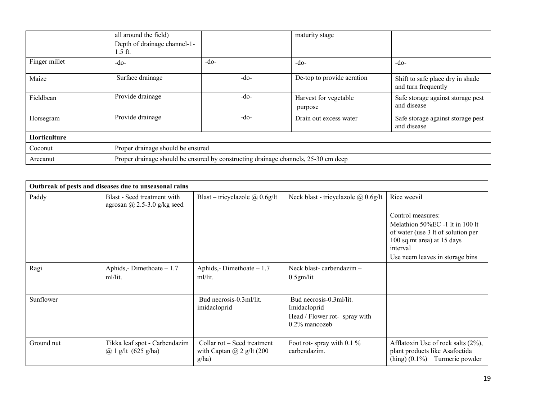|               | all around the field)<br>Depth of drainage channel-1-<br>$1.5$ ft. |                                                                                    | maturity stage                   |                                                         |  |  |
|---------------|--------------------------------------------------------------------|------------------------------------------------------------------------------------|----------------------------------|---------------------------------------------------------|--|--|
| Finger millet | $-do-$                                                             | $-do-$                                                                             | $-do-$                           | $-do-$                                                  |  |  |
| Maize         | Surface drainage                                                   | $-do-$                                                                             | De-top to provide aeration       | Shift to safe place dry in shade<br>and turn frequently |  |  |
| Fieldbean     | Provide drainage                                                   | $-do-$                                                                             | Harvest for vegetable<br>purpose | Safe storage against storage pest<br>and disease        |  |  |
| Horsegram     | Provide drainage                                                   | $-do-$                                                                             | Drain out excess water           | Safe storage against storage pest<br>and disease        |  |  |
| Horticulture  |                                                                    |                                                                                    |                                  |                                                         |  |  |
| Coconut       | Proper drainage should be ensured                                  |                                                                                    |                                  |                                                         |  |  |
| Arecanut      |                                                                    | Proper drainage should be ensured by constructing drainage channels, 25-30 cm deep |                                  |                                                         |  |  |

|            | Outbreak of pests and diseases due to unseasonal rains         |                                                                          |                                                                                              |                                                                                                                                                     |
|------------|----------------------------------------------------------------|--------------------------------------------------------------------------|----------------------------------------------------------------------------------------------|-----------------------------------------------------------------------------------------------------------------------------------------------------|
| Paddy      | Blast - Seed treatment with<br>agrosan @ 2.5-3.0 g/kg seed     | Blast – tricyclazole $\omega$ 0.6g/lt                                    | Neck blast - tricyclazole @ 0.6g/lt                                                          | Rice weevil<br>Control measures:<br>Melathion 50%EC -1 lt in 100 lt<br>of water (use 3 lt of solution per<br>100 sq.mt area) at 15 days<br>interval |
|            |                                                                |                                                                          |                                                                                              | Use neem leaves in storage bins                                                                                                                     |
| Ragi       | Aphids, - Dimethoate $-1.7$<br>ml/lit.                         | Aphids,-Dimethoate $-1.7$<br>ml/lit.                                     | Neck blast-carbendazim-<br>$0.5$ gm/lit                                                      |                                                                                                                                                     |
| Sunflower  |                                                                | Bud necrosis-0.3ml/lit.<br>imidacloprid                                  | Bud necrosis-0.3ml/lit.<br>Imidacloprid<br>Head / Flower rot- spray with<br>$0.2\%$ mancozeb |                                                                                                                                                     |
| Ground nut | Tikka leaf spot - Carbendazim<br>@ 1 g/lt $(625 \text{ g/ha})$ | Collar rot – Seed treatment<br>with Captan $\omega$ 2 g/lt (200<br>g/ha) | Foot rot-spray with 0.1 $\%$<br>carbendazim.                                                 | Afflatoxin Use of rock salts (2%),<br>plant products like Asafoetida<br>$(hing)$ $(0.1\%)$ Turmeric powder                                          |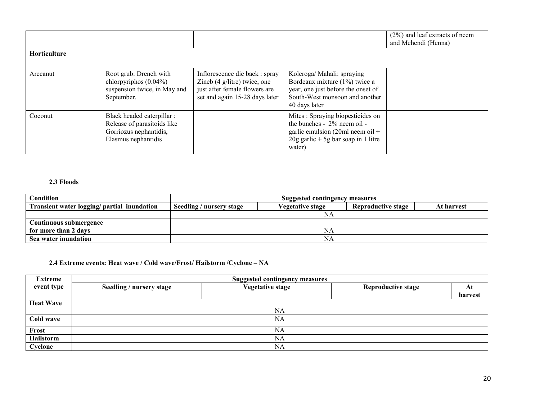|                     |                                                                                                            |                                                                                                                                             |                                                                                                                                                        | $(2\%)$ and leaf extracts of neem<br>and Mehendi (Henna) |
|---------------------|------------------------------------------------------------------------------------------------------------|---------------------------------------------------------------------------------------------------------------------------------------------|--------------------------------------------------------------------------------------------------------------------------------------------------------|----------------------------------------------------------|
| <b>Horticulture</b> |                                                                                                            |                                                                                                                                             |                                                                                                                                                        |                                                          |
| Arecanut            | Root grub: Drench with<br>chlorpyriphos $(0.04\%)$<br>suspension twice, in May and<br>September.           | Inflorescence die back : spray<br>Zineb $(4 \text{ g/litre})$ twice, one<br>just after female flowers are<br>set and again 15-28 days later | Koleroga/ Mahali: spraying<br>Bordeaux mixture (1%) twice a<br>year, one just before the onset of<br>South-West monsoon and another<br>40 days later   |                                                          |
| Coconut             | Black headed caterpillar :<br>Release of parasitoids like<br>Gorriozus nephantidis,<br>Elasmus nephantidis |                                                                                                                                             | Mites: Spraying biopesticides on<br>the bunches - 2% neem oil -<br>garlic emulsion (20ml neem oil +<br>$20g$ garlic + 5g bar soap in 1 litre<br>water) |                                                          |

#### 2.3 Floods

| <b>Condition</b>                            | Suggested contingency measures |                         |                           |            |  |
|---------------------------------------------|--------------------------------|-------------------------|---------------------------|------------|--|
| Transient water logging/ partial inundation | Seedling / nursery stage       | <b>Vegetative stage</b> | <b>Reproductive stage</b> | At harvest |  |
|                                             |                                | NА                      |                           |            |  |
| Continuous submergence                      |                                |                         |                           |            |  |
| for more than 2 days                        |                                | ΝA                      |                           |            |  |
| Sea water inundation                        |                                | NΑ                      |                           |            |  |

## 2.4 Extreme events: Heat wave / Cold wave/Frost/ Hailstorm /Cyclone – NA

| <b>Extreme</b>   | <b>Suggested contingency measures</b> |                         |                           |         |  |  |
|------------------|---------------------------------------|-------------------------|---------------------------|---------|--|--|
| event type       | Seedling / nursery stage              | <b>Vegetative stage</b> | <b>Reproductive stage</b> | At      |  |  |
|                  |                                       |                         |                           | harvest |  |  |
| <b>Heat Wave</b> |                                       |                         |                           |         |  |  |
|                  |                                       | <b>NA</b>               |                           |         |  |  |
| Cold wave        | NA                                    |                         |                           |         |  |  |
| Frost            |                                       | NA                      |                           |         |  |  |
| Hailstorm        |                                       | NA                      |                           |         |  |  |
| Cyclone          |                                       | NA                      |                           |         |  |  |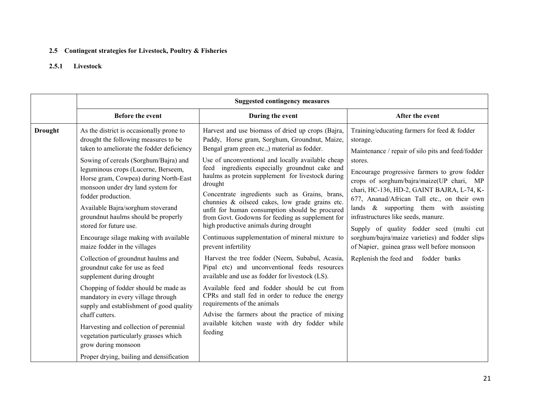## 2.5 Contingent strategies for Livestock, Poultry & Fisheries

# 2.5.1 Livestock

|                |                                                                                                                                                                                                                                                    | <b>Suggested contingency measures</b>                                                                                                                                                                                                                                                                                                                               |                                                                                                                                                                                                                                                                                                                     |  |  |
|----------------|----------------------------------------------------------------------------------------------------------------------------------------------------------------------------------------------------------------------------------------------------|---------------------------------------------------------------------------------------------------------------------------------------------------------------------------------------------------------------------------------------------------------------------------------------------------------------------------------------------------------------------|---------------------------------------------------------------------------------------------------------------------------------------------------------------------------------------------------------------------------------------------------------------------------------------------------------------------|--|--|
|                | Before the event                                                                                                                                                                                                                                   | During the event                                                                                                                                                                                                                                                                                                                                                    | After the event                                                                                                                                                                                                                                                                                                     |  |  |
| <b>Drought</b> | As the district is occasionally prone to<br>drought the following measures to be<br>taken to ameliorate the fodder deficiency<br>Sowing of cereals (Sorghum/Bajra) and                                                                             | Harvest and use biomass of dried up crops (Bajra,<br>Paddy, Horse gram, Sorghum, Groundnut, Maize,<br>Bengal gram green etc., material as fodder.<br>Use of unconventional and locally available cheap                                                                                                                                                              | Training/educating farmers for feed $&$ fodder<br>storage.<br>Maintenance / repair of silo pits and feed/fodder<br>stores.                                                                                                                                                                                          |  |  |
|                | leguminous crops (Lucerne, Berseem,<br>Horse gram, Cowpea) during North-East<br>monsoon under dry land system for<br>fodder production.<br>Available Bajra/sorghum stoverand<br>groundnut haulms should be properly<br>stored for future use.      | feed ingredients especially groundnut cake and<br>haulms as protein supplement for livestock during<br>drought<br>Concentrate ingredients such as Grains, brans,<br>chunnies & oilseed cakes, low grade grains etc.<br>unfit for human consumption should be procured<br>from Govt. Godowns for feeding as supplement for<br>high productive animals during drought | Encourage progressive farmers to grow fodder<br>crops of sorghum/bajra/maize(UP chari, MP<br>chari, HC-136, HD-2, GAINT BAJRA, L-74, K-<br>677, Ananad/African Tall etc., on their own<br>lands & supporting them with assisting<br>infrastructures like seeds, manure.<br>Supply of quality fodder seed (multi cut |  |  |
|                | Encourage silage making with available<br>maize fodder in the villages                                                                                                                                                                             | Continuous supplementation of mineral mixture to<br>prevent infertility                                                                                                                                                                                                                                                                                             | sorghum/bajra/maize varieties) and fodder slips<br>of Napier, guinea grass well before monsoon                                                                                                                                                                                                                      |  |  |
|                | Collection of groundnut haulms and<br>groundnut cake for use as feed<br>supplement during drought                                                                                                                                                  | Harvest the tree fodder (Neem, Subabul, Acasia,<br>Pipal etc) and unconventional feeds resources<br>available and use as fodder for livestock (LS).                                                                                                                                                                                                                 | Replenish the feed and fodder banks                                                                                                                                                                                                                                                                                 |  |  |
|                | Chopping of fodder should be made as<br>mandatory in every village through<br>supply and establishment of good quality<br>chaff cutters.<br>Harvesting and collection of perennial<br>vegetation particularly grasses which<br>grow during monsoon | Available feed and fodder should be cut from<br>CPRs and stall fed in order to reduce the energy<br>requirements of the animals<br>Advise the farmers about the practice of mixing<br>available kitchen waste with dry fodder while<br>feeding                                                                                                                      |                                                                                                                                                                                                                                                                                                                     |  |  |
|                | Proper drying, bailing and densification                                                                                                                                                                                                           |                                                                                                                                                                                                                                                                                                                                                                     |                                                                                                                                                                                                                                                                                                                     |  |  |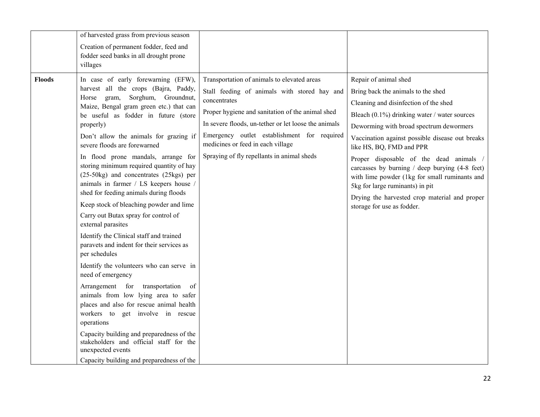|               | of harvested grass from previous season                                                                                                                                                                                                                                                                                                                                                                                  |                                                                                                                                                                                                                                                                                                                                                           |                                                                                                                                                                                                                                                                                                                                                                                                                                     |
|---------------|--------------------------------------------------------------------------------------------------------------------------------------------------------------------------------------------------------------------------------------------------------------------------------------------------------------------------------------------------------------------------------------------------------------------------|-----------------------------------------------------------------------------------------------------------------------------------------------------------------------------------------------------------------------------------------------------------------------------------------------------------------------------------------------------------|-------------------------------------------------------------------------------------------------------------------------------------------------------------------------------------------------------------------------------------------------------------------------------------------------------------------------------------------------------------------------------------------------------------------------------------|
|               | Creation of permanent fodder, feed and<br>fodder seed banks in all drought prone                                                                                                                                                                                                                                                                                                                                         |                                                                                                                                                                                                                                                                                                                                                           |                                                                                                                                                                                                                                                                                                                                                                                                                                     |
|               | villages                                                                                                                                                                                                                                                                                                                                                                                                                 |                                                                                                                                                                                                                                                                                                                                                           |                                                                                                                                                                                                                                                                                                                                                                                                                                     |
| <b>Floods</b> | In case of early forewarning (EFW),<br>harvest all the crops (Bajra, Paddy,<br>Sorghum, Groundnut,<br>Horse gram,<br>Maize, Bengal gram green etc.) that can<br>be useful as fodder in future (store<br>properly)<br>Don't allow the animals for grazing if<br>severe floods are forewarned<br>In flood prone mandals, arrange for<br>storing minimum required quantity of hay<br>(25-50kg) and concentrates (25kgs) per | Transportation of animals to elevated areas<br>Stall feeding of animals with stored hay and<br>concentrates<br>Proper hygiene and sanitation of the animal shed<br>In severe floods, un-tether or let loose the animals<br>Emergency outlet establishment for required<br>medicines or feed in each village<br>Spraying of fly repellants in animal sheds | Repair of animal shed<br>Bring back the animals to the shed<br>Cleaning and disinfection of the shed<br>Bleach $(0.1\%)$ drinking water / water sources<br>Deworming with broad spectrum dewormers<br>Vaccination against possible disease out breaks<br>like HS, BQ, FMD and PPR<br>Proper disposable of the dead animals /<br>carcasses by burning $/$ deep burying $(4-8$ feet)<br>with lime powder (1kg for small ruminants and |
|               | animals in farmer / LS keepers house /<br>shed for feeding animals during floods<br>Keep stock of bleaching powder and lime<br>Carry out Butax spray for control of<br>external parasites<br>Identify the Clinical staff and trained                                                                                                                                                                                     |                                                                                                                                                                                                                                                                                                                                                           | 5kg for large ruminants) in pit<br>Drying the harvested crop material and proper<br>storage for use as fodder.                                                                                                                                                                                                                                                                                                                      |
|               | paravets and indent for their services as<br>per schedules<br>Identify the volunteers who can serve in<br>need of emergency<br>Arrangement for<br>transportation<br>- of<br>animals from low lying area to safer<br>places and also for rescue animal health                                                                                                                                                             |                                                                                                                                                                                                                                                                                                                                                           |                                                                                                                                                                                                                                                                                                                                                                                                                                     |
|               | workers to get involve in rescue<br>operations<br>Capacity building and preparedness of the<br>stakeholders and official staff for the<br>unexpected events<br>Capacity building and preparedness of the                                                                                                                                                                                                                 |                                                                                                                                                                                                                                                                                                                                                           |                                                                                                                                                                                                                                                                                                                                                                                                                                     |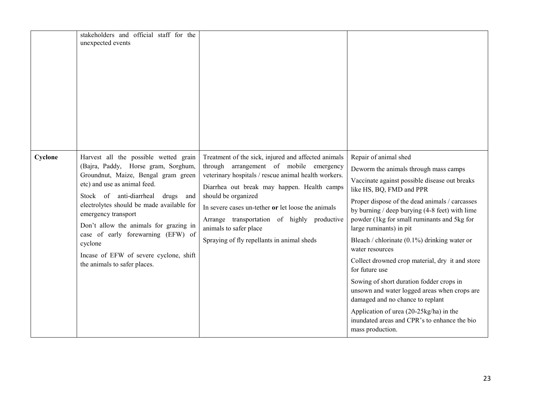|         | stakeholders and official staff for the<br>unexpected events                                                                                                                                                                                                                                                                                                                                                                         |                                                                                                                                                                                                                                                                                                                                                                                                           |                                                                                                                                                                                                                                                                                                                                                                                                                                                                                                                                                                                                                                                                                                                     |
|---------|--------------------------------------------------------------------------------------------------------------------------------------------------------------------------------------------------------------------------------------------------------------------------------------------------------------------------------------------------------------------------------------------------------------------------------------|-----------------------------------------------------------------------------------------------------------------------------------------------------------------------------------------------------------------------------------------------------------------------------------------------------------------------------------------------------------------------------------------------------------|---------------------------------------------------------------------------------------------------------------------------------------------------------------------------------------------------------------------------------------------------------------------------------------------------------------------------------------------------------------------------------------------------------------------------------------------------------------------------------------------------------------------------------------------------------------------------------------------------------------------------------------------------------------------------------------------------------------------|
| Cyclone | Harvest all the possible wetted grain<br>(Bajra, Paddy, Horse gram, Sorghum,<br>Groundnut, Maize, Bengal gram green<br>etc) and use as animal feed.<br>Stock of anti-diarrheal<br>drugs and<br>electrolytes should be made available for<br>emergency transport<br>Don't allow the animals for grazing in<br>case of early forewarning (EFW) of<br>cyclone<br>Incase of EFW of severe cyclone, shift<br>the animals to safer places. | Treatment of the sick, injured and affected animals<br>through arrangement of mobile emergency<br>veterinary hospitals / rescue animal health workers.<br>Diarrhea out break may happen. Health camps<br>should be organized<br>In severe cases un-tether or let loose the animals<br>Arrange transportation of highly productive<br>animals to safer place<br>Spraying of fly repellants in animal sheds | Repair of animal shed<br>Deworm the animals through mass camps<br>Vaccinate against possible disease out breaks<br>like HS, BQ, FMD and PPR<br>Proper dispose of the dead animals / carcasses<br>by burning / deep burying (4-8 feet) with lime<br>powder (1kg for small ruminants and 5kg for<br>large ruminants) in pit<br>Bleach / chlorinate $(0.1\%)$ drinking water or<br>water resources<br>Collect drowned crop material, dry it and store<br>for future use<br>Sowing of short duration fodder crops in<br>unsown and water logged areas when crops are<br>damaged and no chance to replant<br>Application of urea (20-25kg/ha) in the<br>inundated areas and CPR's to enhance the bio<br>mass production. |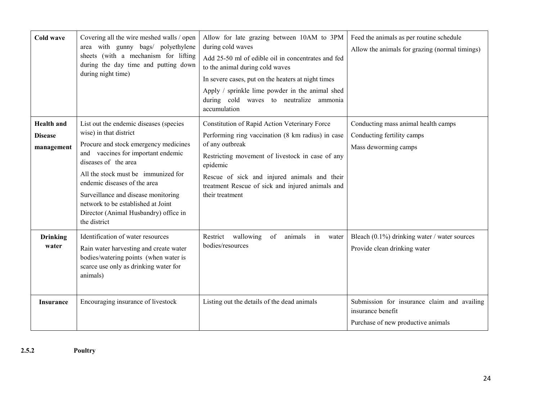| Cold wave                                         | Covering all the wire meshed walls / open<br>area with gunny bags/ polyethylene<br>sheets (with a mechanism for lifting<br>during the day time and putting down<br>during night time)                                                                                                                                                                                                | Allow for late grazing between 10AM to 3PM<br>during cold waves<br>Add 25-50 ml of edible oil in concentrates and fed<br>to the animal during cold waves<br>In severe cases, put on the heaters at night times<br>Apply / sprinkle lime powder in the animal shed<br>during cold waves to neutralize ammonia<br>accumulation | Feed the animals as per routine schedule<br>Allow the animals for grazing (normal timings)             |
|---------------------------------------------------|--------------------------------------------------------------------------------------------------------------------------------------------------------------------------------------------------------------------------------------------------------------------------------------------------------------------------------------------------------------------------------------|------------------------------------------------------------------------------------------------------------------------------------------------------------------------------------------------------------------------------------------------------------------------------------------------------------------------------|--------------------------------------------------------------------------------------------------------|
| <b>Health</b> and<br><b>Disease</b><br>management | List out the endemic diseases (species<br>wise) in that district<br>Procure and stock emergency medicines<br>and vaccines for important endemic<br>diseases of the area<br>All the stock must be immunized for<br>endemic diseases of the area<br>Surveillance and disease monitoring<br>network to be established at Joint<br>Director (Animal Husbandry) office in<br>the district | Constitution of Rapid Action Veterinary Force<br>Performing ring vaccination (8 km radius) in case<br>of any outbreak<br>Restricting movement of livestock in case of any<br>epidemic<br>Rescue of sick and injured animals and their<br>treatment Rescue of sick and injured animals and<br>their treatment                 | Conducting mass animal health camps<br>Conducting fertility camps<br>Mass deworming camps              |
| <b>Drinking</b><br>water                          | Identification of water resources<br>Rain water harvesting and create water<br>bodies/watering points (when water is<br>scarce use only as drinking water for<br>animals)                                                                                                                                                                                                            | Restrict wallowing<br>of<br>animals<br>in<br>water<br>bodies/resources                                                                                                                                                                                                                                                       | Bleach (0.1%) drinking water / water sources<br>Provide clean drinking water                           |
| <b>Insurance</b>                                  | Encouraging insurance of livestock                                                                                                                                                                                                                                                                                                                                                   | Listing out the details of the dead animals                                                                                                                                                                                                                                                                                  | Submission for insurance claim and availing<br>insurance benefit<br>Purchase of new productive animals |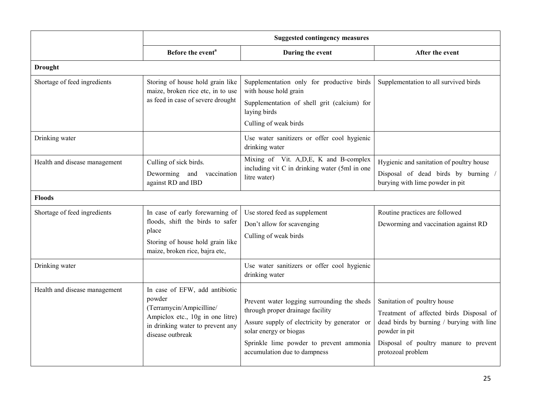|                               | <b>Suggested contingency measures</b>                                                                                                                            |                                                                                                                                                                                                                                      |                                                                                                                                                                                                    |
|-------------------------------|------------------------------------------------------------------------------------------------------------------------------------------------------------------|--------------------------------------------------------------------------------------------------------------------------------------------------------------------------------------------------------------------------------------|----------------------------------------------------------------------------------------------------------------------------------------------------------------------------------------------------|
|                               | Before the event <sup>a</sup>                                                                                                                                    | During the event                                                                                                                                                                                                                     | After the event                                                                                                                                                                                    |
| <b>Drought</b>                |                                                                                                                                                                  |                                                                                                                                                                                                                                      |                                                                                                                                                                                                    |
| Shortage of feed ingredients  | Storing of house hold grain like<br>maize, broken rice etc, in to use<br>as feed in case of severe drought                                                       | Supplementation only for productive birds<br>with house hold grain<br>Supplementation of shell grit (calcium) for<br>laying birds<br>Culling of weak birds                                                                           | Supplementation to all survived birds                                                                                                                                                              |
| Drinking water                |                                                                                                                                                                  | Use water sanitizers or offer cool hygienic<br>drinking water                                                                                                                                                                        |                                                                                                                                                                                                    |
| Health and disease management | Culling of sick birds.<br>Deworming and vaccination<br>against RD and IBD                                                                                        | Mixing of Vit. A, D, E, K and B-complex<br>including vit C in drinking water (5ml in one<br>litre water)                                                                                                                             | Hygienic and sanitation of poultry house<br>Disposal of dead birds by burning /<br>burying with lime powder in pit                                                                                 |
| <b>Floods</b>                 |                                                                                                                                                                  |                                                                                                                                                                                                                                      |                                                                                                                                                                                                    |
| Shortage of feed ingredients  | In case of early forewarning of<br>floods, shift the birds to safer<br>place<br>Storing of house hold grain like<br>maize, broken rice, bajra etc,               | Use stored feed as supplement<br>Don't allow for scavenging<br>Culling of weak birds                                                                                                                                                 | Routine practices are followed<br>Deworming and vaccination against RD                                                                                                                             |
| Drinking water                |                                                                                                                                                                  | Use water sanitizers or offer cool hygienic<br>drinking water                                                                                                                                                                        |                                                                                                                                                                                                    |
| Health and disease management | In case of EFW, add antibiotic<br>powder<br>(Terramycin/Ampicilline/<br>Ampiclox etc., 10g in one litre)<br>in drinking water to prevent any<br>disease outbreak | Prevent water logging surrounding the sheds<br>through proper drainage facility<br>Assure supply of electricity by generator or<br>solar energy or biogas<br>Sprinkle lime powder to prevent ammonia<br>accumulation due to dampness | Sanitation of poultry house<br>Treatment of affected birds Disposal of<br>dead birds by burning / burying with line<br>powder in pit<br>Disposal of poultry manure to prevent<br>protozoal problem |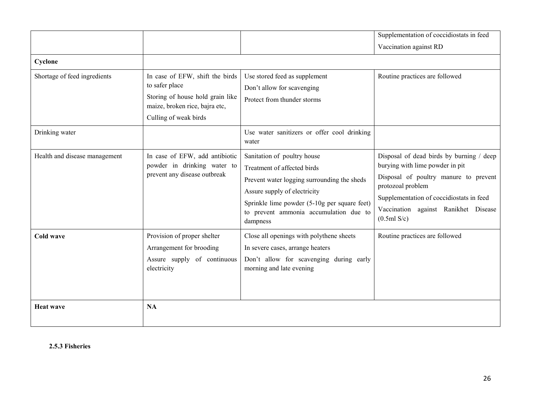|                               |                                                                                                                                                  |                                                                                                                                                                                                                                                 | Supplementation of coccidiostats in feed                                                                                                                                                                                                        |
|-------------------------------|--------------------------------------------------------------------------------------------------------------------------------------------------|-------------------------------------------------------------------------------------------------------------------------------------------------------------------------------------------------------------------------------------------------|-------------------------------------------------------------------------------------------------------------------------------------------------------------------------------------------------------------------------------------------------|
|                               |                                                                                                                                                  |                                                                                                                                                                                                                                                 | Vaccination against RD                                                                                                                                                                                                                          |
| Cyclone                       |                                                                                                                                                  |                                                                                                                                                                                                                                                 |                                                                                                                                                                                                                                                 |
| Shortage of feed ingredients  | In case of EFW, shift the birds<br>to safer place<br>Storing of house hold grain like<br>maize, broken rice, bajra etc,<br>Culling of weak birds | Use stored feed as supplement<br>Don't allow for scavenging<br>Protect from thunder storms                                                                                                                                                      | Routine practices are followed                                                                                                                                                                                                                  |
| Drinking water                |                                                                                                                                                  | Use water sanitizers or offer cool drinking<br>water                                                                                                                                                                                            |                                                                                                                                                                                                                                                 |
| Health and disease management | In case of EFW, add antibiotic<br>powder in drinking water to<br>prevent any disease outbreak                                                    | Sanitation of poultry house<br>Treatment of affected birds<br>Prevent water logging surrounding the sheds<br>Assure supply of electricity<br>Sprinkle lime powder (5-10g per square feet)<br>to prevent ammonia accumulation due to<br>dampness | Disposal of dead birds by burning / deep<br>burying with lime powder in pit<br>Disposal of poultry manure to prevent<br>protozoal problem<br>Supplementation of coccidiostats in feed<br>against Ranikhet Disease<br>Vaccination<br>(0.5ml S/c) |
| Cold wave                     | Provision of proper shelter<br>Arrangement for brooding<br>Assure supply of continuous<br>electricity                                            | Close all openings with polythene sheets<br>In severe cases, arrange heaters<br>Don't allow for scavenging during early<br>morning and late evening                                                                                             | Routine practices are followed                                                                                                                                                                                                                  |
| <b>Heat wave</b>              | <b>NA</b>                                                                                                                                        |                                                                                                                                                                                                                                                 |                                                                                                                                                                                                                                                 |

2.5.3 Fisheries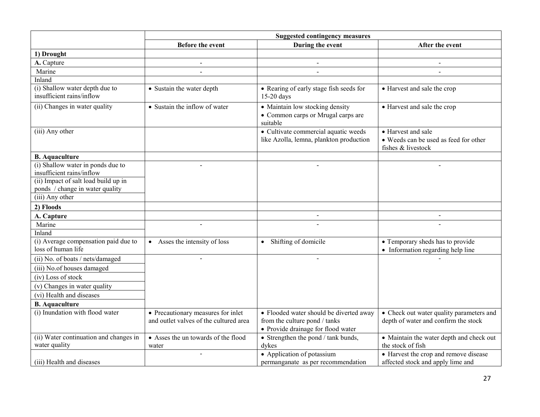|                                                             | <b>Suggested contingency measures</b>                                        |                                                                                                                |                                                                                   |
|-------------------------------------------------------------|------------------------------------------------------------------------------|----------------------------------------------------------------------------------------------------------------|-----------------------------------------------------------------------------------|
|                                                             | <b>Before the event</b>                                                      | During the event                                                                                               | After the event                                                                   |
| 1) Drought                                                  |                                                                              |                                                                                                                |                                                                                   |
| A. Capture                                                  |                                                                              |                                                                                                                |                                                                                   |
| Marine                                                      |                                                                              |                                                                                                                | $\overline{a}$                                                                    |
| Inland                                                      |                                                                              |                                                                                                                |                                                                                   |
| (i) Shallow water depth due to<br>insufficient rains/inflow | • Sustain the water depth                                                    | • Rearing of early stage fish seeds for<br>15-20 days                                                          | • Harvest and sale the crop                                                       |
| (ii) Changes in water quality                               | • Sustain the inflow of water                                                | • Maintain low stocking density<br>• Common carps or Mrugal carps are<br>suitable                              | • Harvest and sale the crop                                                       |
| (iii) Any other                                             |                                                                              | • Cultivate commercial aquatic weeds<br>like Azolla, lemna, plankton production                                | • Harvest and sale<br>• Weeds can be used as feed for other<br>fishes & livestock |
| <b>B.</b> Aquaculture                                       |                                                                              |                                                                                                                |                                                                                   |
| (i) Shallow water in ponds due to                           | $\overline{a}$                                                               |                                                                                                                | $\overline{a}$                                                                    |
| insufficient rains/inflow                                   |                                                                              |                                                                                                                |                                                                                   |
| (ii) Impact of salt load build up in                        |                                                                              |                                                                                                                |                                                                                   |
| ponds / change in water quality<br>$(iii)$ Any other        |                                                                              |                                                                                                                |                                                                                   |
|                                                             |                                                                              |                                                                                                                |                                                                                   |
| 2) Floods                                                   |                                                                              |                                                                                                                |                                                                                   |
| A. Capture                                                  |                                                                              | $\blacksquare$                                                                                                 | $\blacksquare$                                                                    |
| Marine<br>Inland                                            |                                                                              |                                                                                                                |                                                                                   |
|                                                             |                                                                              |                                                                                                                |                                                                                   |
| (i) Average compensation paid due to<br>loss of human life  | • Asses the intensity of loss                                                | • Shifting of domicile                                                                                         | • Temporary sheds has to provide<br>• Information regarding help line             |
| (ii) No. of boats / nets/damaged                            |                                                                              |                                                                                                                |                                                                                   |
| (iii) No.of houses damaged                                  |                                                                              |                                                                                                                |                                                                                   |
| (iv) Loss of stock                                          |                                                                              |                                                                                                                |                                                                                   |
| (v) Changes in water quality                                |                                                                              |                                                                                                                |                                                                                   |
| (vi) Health and diseases                                    |                                                                              |                                                                                                                |                                                                                   |
| <b>B.</b> Aquaculture                                       |                                                                              |                                                                                                                |                                                                                   |
| (i) Inundation with flood water                             | • Precautionary measures for inlet<br>and outlet valves of the cultured area | • Flooded water should be diverted away<br>from the culture pond / tanks<br>• Provide drainage for flood water | • Check out water quality parameters and<br>depth of water and confirm the stock  |
| (ii) Water continuation and changes in                      | • Asses the un towards of the flood                                          | • Strengthen the pond / tank bunds,                                                                            | • Maintain the water depth and check out                                          |
| water quality                                               | water                                                                        | dykes                                                                                                          | the stock of fish                                                                 |
| (iii) Health and diseases                                   | $\overline{a}$                                                               | • Application of potassium<br>permanganate as per recommendation                                               | • Harvest the crop and remove disease<br>affected stock and apply lime and        |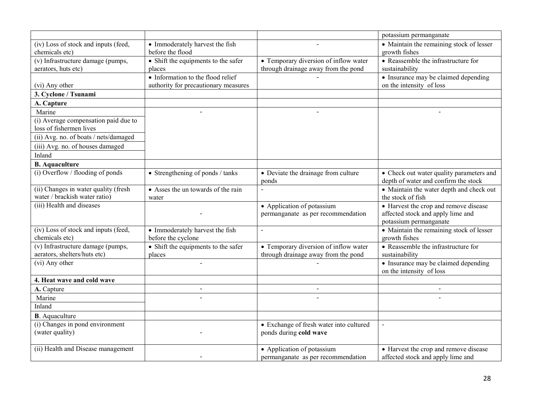|                                                                       |                                                                           |                                                                              | potassium permanganate                                                           |
|-----------------------------------------------------------------------|---------------------------------------------------------------------------|------------------------------------------------------------------------------|----------------------------------------------------------------------------------|
| (iv) Loss of stock and inputs (feed,<br>chemicals etc)                | • Immoderately harvest the fish<br>before the flood                       |                                                                              | • Maintain the remaining stock of lesser<br>growth fishes                        |
| (v) Infrastructure damage (pumps,<br>aerators, huts etc)              | • Shift the equipments to the safer<br>places                             | • Temporary diversion of inflow water<br>through drainage away from the pond | • Reassemble the infrastructure for<br>sustainability                            |
| (vi) Any other                                                        | • Information to the flood relief<br>authority for precautionary measures |                                                                              | • Insurance may be claimed depending<br>on the intensity of loss                 |
| 3. Cyclone / Tsunami                                                  |                                                                           |                                                                              |                                                                                  |
| A. Capture                                                            |                                                                           |                                                                              |                                                                                  |
| Marine                                                                |                                                                           |                                                                              |                                                                                  |
| (i) Average compensation paid due to<br>loss of fishermen lives       |                                                                           |                                                                              |                                                                                  |
| (ii) Avg. no. of boats / nets/damaged                                 |                                                                           |                                                                              |                                                                                  |
| (iii) Avg. no. of houses damaged                                      |                                                                           |                                                                              |                                                                                  |
| Inland                                                                |                                                                           |                                                                              |                                                                                  |
| <b>B.</b> Aquaculture                                                 |                                                                           |                                                                              |                                                                                  |
| (i) Overflow / flooding of ponds                                      | • Strengthening of ponds / tanks                                          | • Deviate the drainage from culture<br>ponds                                 | • Check out water quality parameters and<br>depth of water and confirm the stock |
| (ii) Changes in water quality (fresh<br>water / brackish water ratio) | • Asses the un towards of the rain<br>water                               |                                                                              | • Maintain the water depth and check out<br>the stock of fish                    |
| (iii) Health and diseases                                             |                                                                           | • Application of potassium                                                   | • Harvest the crop and remove disease                                            |
|                                                                       |                                                                           | permanganate as per recommendation                                           | affected stock and apply lime and<br>potassium permanganate                      |
| (iv) Loss of stock and inputs (feed,<br>chemicals etc)                | • Immoderately harvest the fish<br>before the cyclone                     | $\overline{a}$                                                               | • Maintain the remaining stock of lesser<br>growth fishes                        |
| (v) Infrastructure damage (pumps,<br>aerators, shelters/huts etc)     | • Shift the equipments to the safer<br>places                             | • Temporary diversion of inflow water<br>through drainage away from the pond | • Reassemble the infrastructure for<br>sustainability                            |
| (vi) Any other                                                        |                                                                           |                                                                              | • Insurance may be claimed depending<br>on the intensity of loss                 |
| 4. Heat wave and cold wave                                            |                                                                           |                                                                              |                                                                                  |
| A. Capture                                                            | $\blacksquare$                                                            | $\blacksquare$                                                               | $\blacksquare$                                                                   |
| Marine                                                                |                                                                           |                                                                              |                                                                                  |
| Inland                                                                |                                                                           |                                                                              |                                                                                  |
| <b>B</b> . Aquaculture                                                |                                                                           |                                                                              |                                                                                  |
| (i) Changes in pond environment                                       |                                                                           | • Exchange of fresh water into cultured                                      | $\overline{a}$                                                                   |
| (water quality)                                                       |                                                                           | ponds during cold wave                                                       |                                                                                  |
| (ii) Health and Disease management                                    |                                                                           | • Application of potassium                                                   | • Harvest the crop and remove disease                                            |
|                                                                       |                                                                           | permanganate as per recommendation                                           | affected stock and apply lime and                                                |